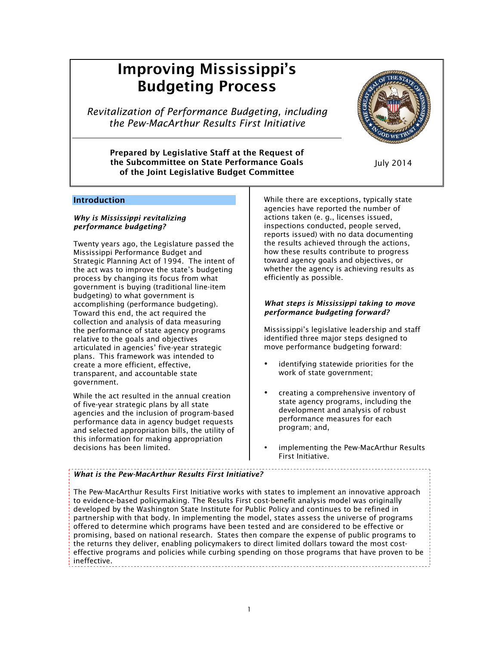# Improving Mississippi's Budgeting Process

*Revitalization of Performance Budgeting, including the Pew-MacArthur Results First Initiative*

Prepared by Legislative Staff at the Request of the Subcommittee on State Performance Goals of the Joint Legislative Budget Committee



July 2014

# Introduction

#### *Why is Mississippi revitalizing performance budgeting?*

Twenty years ago, the Legislature passed the Mississippi Performance Budget and Strategic Planning Act of 1994. The intent of the act was to improve the state's budgeting process by changing its focus from what government is buying (traditional line-item budgeting) to what government is accomplishing (performance budgeting). Toward this end, the act required the collection and analysis of data measuring the performance of state agency programs relative to the goals and objectives articulated in agencies' five-year strategic plans. This framework was intended to create a more efficient, effective, transparent, and accountable state government.

While the act resulted in the annual creation of five-year strategic plans by all state agencies and the inclusion of program-based performance data in agency budget requests and selected appropriation bills, the utility of this information for making appropriation decisions has been limited.

While there are exceptions, typically state agencies have reported the number of actions taken (e. g., licenses issued, inspections conducted, people served, reports issued) with no data documenting the results achieved through the actions, how these results contribute to progress toward agency goals and objectives, or whether the agency is achieving results as efficiently as possible.

# *What steps is Mississippi taking to move performance budgeting forward?*

Mississippi's legislative leadership and staff identified three major steps designed to move performance budgeting forward:

- identifying statewide priorities for the work of state government;
- creating a comprehensive inventory of state agency programs, including the development and analysis of robust performance measures for each program; and,
- implementing the Pew-MacArthur Results First Initiative.

# *What is the Pew-MacArthur Results First Initiative?*

The Pew-MacArthur Results First Initiative works with states to implement an innovative approach to evidence-based policymaking. The Results First cost-benefit analysis model was originally developed by the Washington State Institute for Public Policy and continues to be refined in partnership with that body. In implementing the model, states assess the universe of programs offered to determine which programs have been tested and are considered to be effective or promising, based on national research. States then compare the expense of public programs to the returns they deliver, enabling policymakers to direct limited dollars toward the most costeffective programs and policies while curbing spending on those programs that have proven to be ineffective.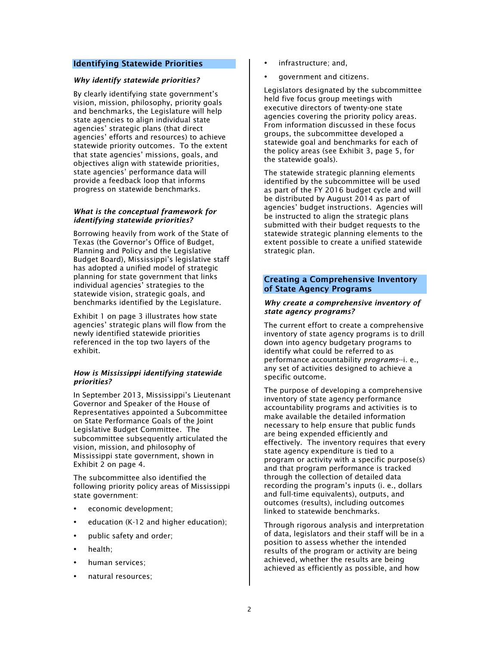## Identifying Statewide Priorities

## *Why identify statewide priorities?*

By clearly identifying state government's vision, mission, philosophy, priority goals and benchmarks, the Legislature will help state agencies to align individual state agencies' strategic plans (that direct agencies' efforts and resources) to achieve statewide priority outcomes. To the extent that state agencies' missions, goals, and objectives align with statewide priorities, state agencies' performance data will provide a feedback loop that informs progress on statewide benchmarks.

## *What is the conceptual framework for identifying statewide priorities?*

Borrowing heavily from work of the State of Texas (the Governor's Office of Budget, Planning and Policy and the Legislative Budget Board), Mississippi's legislative staff has adopted a unified model of strategic planning for state government that links individual agencies' strategies to the statewide vision, strategic goals, and benchmarks identified by the Legislature.

Exhibit 1 on page 3 illustrates how state agencies' strategic plans will flow from the newly identified statewide priorities referenced in the top two layers of the exhibit.

## *How is Mississippi identifying statewide priorities?*

In September 2013, Mississippi's Lieutenant Governor and Speaker of the House of Representatives appointed a Subcommittee on State Performance Goals of the Joint Legislative Budget Committee. The subcommittee subsequently articulated the vision, mission, and philosophy of Mississippi state government, shown in Exhibit 2 on page 4.

The subcommittee also identified the following priority policy areas of Mississippi state government:

- economic development;
- education (K-12 and higher education);
- public safety and order;
- health;
- human services:
- natural resources;
- infrastructure; and,
- government and citizens.

Legislators designated by the subcommittee held five focus group meetings with executive directors of twenty-one state agencies covering the priority policy areas. From information discussed in these focus groups, the subcommittee developed a statewide goal and benchmarks for each of the policy areas (see Exhibit 3, page 5, for the statewide goals).

The statewide strategic planning elements identified by the subcommittee will be used as part of the FY 2016 budget cycle and will be distributed by August 2014 as part of agencies' budget instructions. Agencies will be instructed to align the strategic plans submitted with their budget requests to the statewide strategic planning elements to the extent possible to create a unified statewide strategic plan.

#### Creating a Comprehensive Inventory of State Agency Programs

#### *Why create a comprehensive inventory of state agency programs?*

The current effort to create a comprehensive inventory of state agency programs is to drill down into agency budgetary programs to identify what could be referred to as performance accountability *programs*--i. e., any set of activities designed to achieve a specific outcome.

The purpose of developing a comprehensive inventory of state agency performance accountability programs and activities is to make available the detailed information necessary to help ensure that public funds are being expended efficiently and effectively. The inventory requires that every state agency expenditure is tied to a program or activity with a specific purpose(s) and that program performance is tracked through the collection of detailed data recording the program's inputs (i. e., dollars and full-time equivalents), outputs, and outcomes (results), including outcomes linked to statewide benchmarks.

Through rigorous analysis and interpretation of data, legislators and their staff will be in a position to assess whether the intended results of the program or activity are being achieved, whether the results are being achieved as efficiently as possible, and how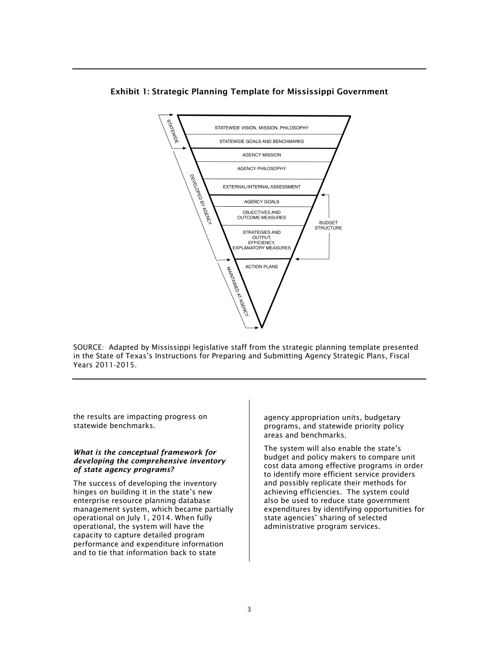

# Exhibit 1: Strategic Planning Template for Mississippi Government

SOURCE: Adapted by Mississippi legislative staff from the strategic planning template presented in the State of Texas's Instructions for Preparing and Submitting Agency Strategic Plans, Fiscal Years 2011-2015.

the results are impacting progress on statewide benchmarks.

#### *What is the conceptual framework for developing the comprehensive inventory of state agency programs?*

The success of developing the inventory hinges on building it in the state's new enterprise resource planning database management system, which became partially operational on July 1, 2014. When fully operational, the system will have the capacity to capture detailed program performance and expenditure information and to tie that information back to state

agency appropriation units, budgetary programs, and statewide priority policy areas and benchmarks.

The system will also enable the state's budget and policy makers to compare unit cost data among effective programs in order to identify more efficient service providers and possibly replicate their methods for achieving efficiencies. The system could also be used to reduce state government expenditures by identifying opportunities for state agencies' sharing of selected administrative program services.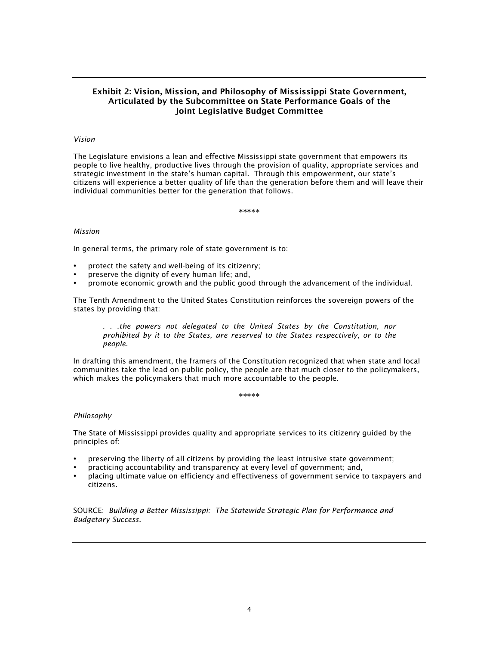# Exhibit 2: Vision, Mission, and Philosophy of Mississippi State Government, Articulated by the Subcommittee on State Performance Goals of the Joint Legislative Budget Committee

#### *Vision*

The Legislature envisions a lean and effective Mississippi state government that empowers its people to live healthy, productive lives through the provision of quality, appropriate services and strategic investment in the state's human capital. Through this empowerment, our state's citizens will experience a better quality of life than the generation before them and will leave their individual communities better for the generation that follows.

\*\*\*\*\*

#### *Mission*

In general terms, the primary role of state government is to:

- protect the safety and well-being of its citizenry;
- preserve the dignity of every human life; and,
- promote economic growth and the public good through the advancement of the individual.

The Tenth Amendment to the United States Constitution reinforces the sovereign powers of the states by providing that:

*. . .the powers not delegated to the United States by the Constitution, nor prohibited by it to the States, are reserved to the States respectively, or to the people.*

In drafting this amendment, the framers of the Constitution recognized that when state and local communities take the lead on public policy, the people are that much closer to the policymakers, which makes the policymakers that much more accountable to the people.

\*\*\*\*\*

#### *Philosophy*

The State of Mississippi provides quality and appropriate services to its citizenry guided by the principles of:

- preserving the liberty of all citizens by providing the least intrusive state government;
- practicing accountability and transparency at every level of government; and,
- placing ultimate value on efficiency and effectiveness of government service to taxpayers and citizens.

SOURCE: *Building a Better Mississippi: The Statewide Strategic Plan for Performance and Budgetary Success.*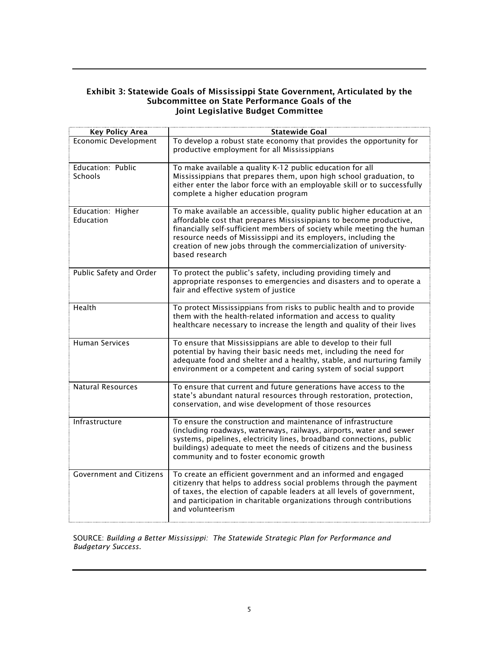# Exhibit 3: Statewide Goals of Mississippi State Government, Articulated by the Subcommittee on State Performance Goals of the Joint Legislative Budget Committee

| <b>Key Policy Area</b>                | <b>Statewide Goal</b>                                                                                                                                                                                                                                                                                                                                                           |
|---------------------------------------|---------------------------------------------------------------------------------------------------------------------------------------------------------------------------------------------------------------------------------------------------------------------------------------------------------------------------------------------------------------------------------|
| <b>Economic Development</b>           | To develop a robust state economy that provides the opportunity for<br>productive employment for all Mississippians                                                                                                                                                                                                                                                             |
| Education: Public<br><b>Schools</b>   | To make available a quality K-12 public education for all<br>Mississippians that prepares them, upon high school graduation, to<br>either enter the labor force with an employable skill or to successfully<br>complete a higher education program                                                                                                                              |
| Education: Higher<br><b>Education</b> | To make available an accessible, quality public higher education at an<br>affordable cost that prepares Mississippians to become productive,<br>financially self-sufficient members of society while meeting the human<br>resource needs of Mississippi and its employers, including the<br>creation of new jobs through the commercialization of university-<br>based research |
| Public Safety and Order               | To protect the public's safety, including providing timely and<br>appropriate responses to emergencies and disasters and to operate a<br>fair and effective system of justice                                                                                                                                                                                                   |
| Health                                | To protect Mississippians from risks to public health and to provide<br>them with the health-related information and access to quality<br>healthcare necessary to increase the length and quality of their lives                                                                                                                                                                |
| <b>Human Services</b>                 | To ensure that Mississippians are able to develop to their full<br>potential by having their basic needs met, including the need for<br>adequate food and shelter and a healthy, stable, and nurturing family<br>environment or a competent and caring system of social support                                                                                                 |
| <b>Natural Resources</b>              | To ensure that current and future generations have access to the<br>state's abundant natural resources through restoration, protection,<br>conservation, and wise development of those resources                                                                                                                                                                                |
| Infrastructure                        | To ensure the construction and maintenance of infrastructure<br>(including roadways, waterways, railways, airports, water and sewer<br>systems, pipelines, electricity lines, broadband connections, public<br>buildings) adequate to meet the needs of citizens and the business<br>community and to foster economic growth                                                    |
| <b>Government and Citizens</b>        | To create an efficient government and an informed and engaged<br>citizenry that helps to address social problems through the payment<br>of taxes, the election of capable leaders at all levels of government,<br>and participation in charitable organizations through contributions<br>and volunteerism                                                                       |

SOURCE: *Building a Better Mississippi: The Statewide Strategic Plan for Performance and Budgetary Success.*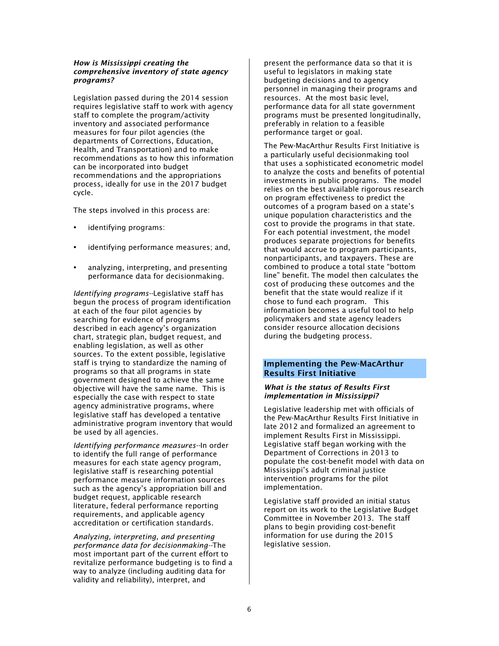### *How is Mississippi creating the comprehensive inventory of state agency programs?*

Legislation passed during the 2014 session requires legislative staff to work with agency staff to complete the program/activity inventory and associated performance measures for four pilot agencies (the departments of Corrections, Education, Health, and Transportation) and to make recommendations as to how this information can be incorporated into budget recommendations and the appropriations process, ideally for use in the 2017 budget cycle.

The steps involved in this process are:

- identifying programs:
- identifying performance measures; and,
- analyzing, interpreting, and presenting performance data for decisionmaking.

*Identifying programs--*Legislative staff has begun the process of program identification at each of the four pilot agencies by searching for evidence of programs described in each agency's organization chart, strategic plan, budget request, and enabling legislation, as well as other sources. To the extent possible, legislative staff is trying to standardize the naming of programs so that all programs in state government designed to achieve the same objective will have the same name. This is especially the case with respect to state agency administrative programs, where legislative staff has developed a tentative administrative program inventory that would be used by all agencies.

*Identifying performance measures--*In order to identify the full range of performance measures for each state agency program, legislative staff is researching potential performance measure information sources such as the agency's appropriation bill and budget request, applicable research literature, federal performance reporting requirements, and applicable agency accreditation or certification standards.

*Analyzing, interpreting, and presenting performance data for decisionmaking--*The most important part of the current effort to revitalize performance budgeting is to find a way to analyze (including auditing data for validity and reliability), interpret, and

present the performance data so that it is useful to legislators in making state budgeting decisions and to agency personnel in managing their programs and resources. At the most basic level, performance data for all state government programs must be presented longitudinally, preferably in relation to a feasible performance target or goal.

The Pew-MacArthur Results First Initiative is a particularly useful decisionmaking tool that uses a sophisticated econometric model to analyze the costs and benefits of potential investments in public programs. The model relies on the best available rigorous research on program effectiveness to predict the outcomes of a program based on a state's unique population characteristics and the cost to provide the programs in that state. For each potential investment, the model produces separate projections for benefits that would accrue to program participants, nonparticipants, and taxpayers. These are combined to produce a total state "bottom line" benefit. The model then calculates the cost of producing these outcomes and the benefit that the state would realize if it chose to fund each program. This information becomes a useful tool to help policymakers and state agency leaders consider resource allocation decisions during the budgeting process.

# Implementing the Pew-MacArthur Results First Initiative

#### *What is the status of Results First implementation in Mississippi?*

Legislative leadership met with officials of the Pew-MacArthur Results First Initiative in late 2012 and formalized an agreement to implement Results First in Mississippi. Legislative staff began working with the Department of Corrections in 2013 to populate the cost-benefit model with data on Mississippi's adult criminal justice intervention programs for the pilot implementation.

Legislative staff provided an initial status report on its work to the Legislative Budget Committee in November 2013. The staff plans to begin providing cost-benefit information for use during the 2015 legislative session.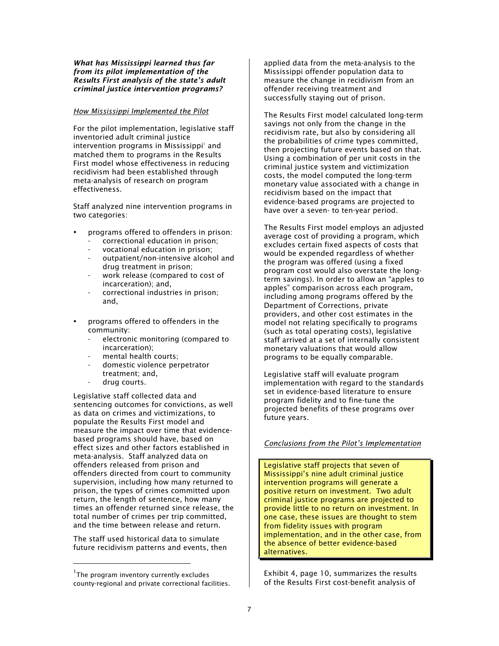#### *What has Mississippi learned thus far from its pilot implementation of the Results First analysis of the state's adult criminal justice intervention programs?*

#### *How Mississippi Implemented the Pilot*

For the pilot implementation, legislative staff inventoried adult criminal justice intervention programs in Mississippi1 and matched them to programs in the Results First model whose effectiveness in reducing recidivism had been established through meta-analysis of research on program effectiveness.

Staff analyzed nine intervention programs in two categories:

- programs offered to offenders in prison:
	- correctional education in prison;
	- vocational education in prison;
	- outpatient/non-intensive alcohol and drug treatment in prison;
	- work release (compared to cost of incarceration); and,
	- correctional industries in prison; and,
- programs offered to offenders in the community:
	- electronic monitoring (compared to incarceration);
	- mental health courts;
	- domestic violence perpetrator treatment; and,
	- drug courts.

Legislative staff collected data and sentencing outcomes for convictions, as well as data on crimes and victimizations, to populate the Results First model and measure the impact over time that evidencebased programs should have, based on effect sizes and other factors established in meta-analysis. Staff analyzed data on offenders released from prison and offenders directed from court to community supervision, including how many returned to prison, the types of crimes committed upon return, the length of sentence, how many times an offender returned since release, the total number of crimes per trip committed, and the time between release and return.

The staff used historical data to simulate future recidivism patterns and events, then

 

applied data from the meta-analysis to the Mississippi offender population data to measure the change in recidivism from an offender receiving treatment and successfully staying out of prison.

The Results First model calculated long-term savings not only from the change in the recidivism rate, but also by considering all the probabilities of crime types committed, then projecting future events based on that. Using a combination of per unit costs in the criminal justice system and victimization costs, the model computed the long-term monetary value associated with a change in recidivism based on the impact that evidence-based programs are projected to have over a seven- to ten-year period.

The Results First model employs an adjusted average cost of providing a program, which excludes certain fixed aspects of costs that would be expended regardless of whether the program was offered (using a fixed program cost would also overstate the longterm savings). In order to allow an "apples to apples" comparison across each program, including among programs offered by the Department of Corrections, private providers, and other cost estimates in the model not relating specifically to programs (such as total operating costs), legislative staff arrived at a set of internally consistent monetary valuations that would allow programs to be equally comparable.

Legislative staff will evaluate program implementation with regard to the standards set in evidence-based literature to ensure program fidelity and to fine-tune the projected benefits of these programs over future years.

## *Conclusions from the Pilot's Implementation*

Legislative staff projects that seven of Mississippi's nine adult criminal justice intervention programs will generate a positive return on investment. Two adult criminal justice programs are projected to provide little to no return on investment. In one case, these issues are thought to stem from fidelity issues with program implementation, and in the other case, from the absence of better evidence-based alternatives.

Exhibit 4, page 10, summarizes the results of the Results First cost-benefit analysis of

<sup>&</sup>lt;sup>1</sup>The program inventory currently excludes county-regional and private correctional facilities.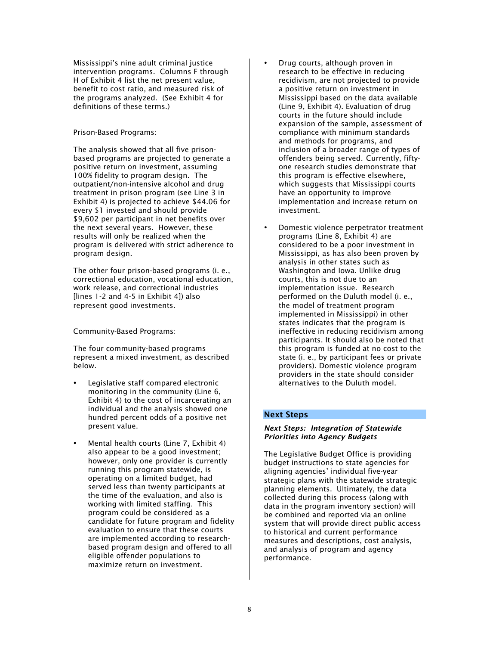Mississippi's nine adult criminal justice intervention programs. Columns F through H of Exhibit 4 list the net present value, benefit to cost ratio, and measured risk of the programs analyzed. (See Exhibit 4 for definitions of these terms.)

## Prison-Based Programs:

The analysis showed that all five prisonbased programs are projected to generate a positive return on investment, assuming 100% fidelity to program design. The outpatient/non-intensive alcohol and drug treatment in prison program (see Line 3 in Exhibit 4) is projected to achieve \$44.06 for every \$1 invested and should provide \$9,602 per participant in net benefits over the next several years. However, these results will only be realized when the program is delivered with strict adherence to program design.

The other four prison-based programs (i. e., correctional education, vocational education, work release, and correctional industries [lines 1-2 and 4-5 in Exhibit 4]) also represent good investments.

Community-Based Programs:

The four community-based programs represent a mixed investment, as described below.

- Legislative staff compared electronic monitoring in the community (Line 6, Exhibit 4) to the cost of incarcerating an individual and the analysis showed one hundred percent odds of a positive net present value.
- Mental health courts (Line 7, Exhibit 4) also appear to be a good investment; however, only one provider is currently running this program statewide, is operating on a limited budget, had served less than twenty participants at the time of the evaluation, and also is working with limited staffing. This program could be considered as a candidate for future program and fidelity evaluation to ensure that these courts are implemented according to researchbased program design and offered to all eligible offender populations to maximize return on investment.
- Drug courts, although proven in research to be effective in reducing recidivism, are not projected to provide a positive return on investment in Mississippi based on the data available (Line 9, Exhibit 4). Evaluation of drug courts in the future should include expansion of the sample, assessment of compliance with minimum standards and methods for programs, and inclusion of a broader range of types of offenders being served. Currently, fiftyone research studies demonstrate that this program is effective elsewhere, which suggests that Mississippi courts have an opportunity to improve implementation and increase return on investment.
- Domestic violence perpetrator treatment programs (Line 8, Exhibit 4) are considered to be a poor investment in Mississippi, as has also been proven by analysis in other states such as Washington and Iowa. Unlike drug courts, this is not due to an implementation issue. Research performed on the Duluth model (i. e., the model of treatment program implemented in Mississippi) in other states indicates that the program is ineffective in reducing recidivism among participants. It should also be noted that this program is funded at no cost to the state (i. e., by participant fees or private providers). Domestic violence program providers in the state should consider alternatives to the Duluth model.

# Next Steps

## *Next Steps: Integration of Statewide Priorities into Agency Budgets*

The Legislative Budget Office is providing budget instructions to state agencies for aligning agencies' individual five-year strategic plans with the statewide strategic planning elements. Ultimately, the data collected during this process (along with data in the program inventory section) will be combined and reported via an online system that will provide direct public access to historical and current performance measures and descriptions, cost analysis, and analysis of program and agency performance.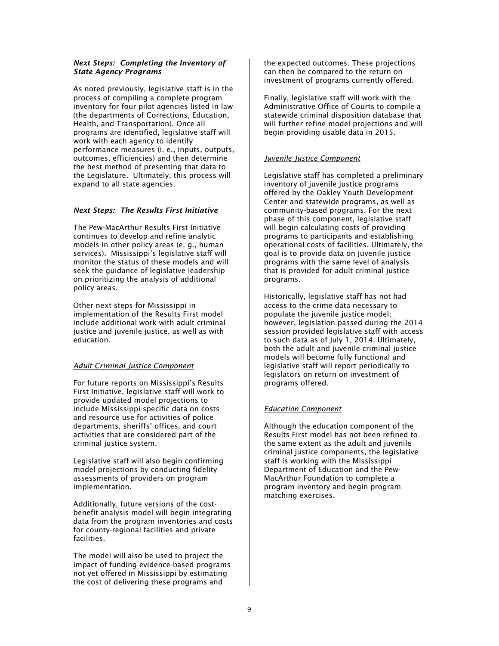## *Next Steps: Completing the Inventory of State Agency Programs*

As noted previously, legislative staff is in the process of compiling a complete program inventory for four pilot agencies listed in law (the departments of Corrections, Education, Health, and Transportation). Once all programs are identified, legislative staff will work with each agency to identify performance measures (i. e., inputs, outputs, outcomes, efficiencies) and then determine the best method of presenting that data to the Legislature. Ultimately, this process will expand to all state agencies.

## *Next Steps: The Results First Initiative*

The Pew-MacArthur Results First Initiative continues to develop and refine analytic models in other policy areas (e. g., human services). Mississippi's legislative staff will monitor the status of these models and will seek the guidance of legislative leadership on prioritizing the analysis of additional policy areas.

Other next steps for Mississippi in implementation of the Results First model include additional work with adult criminal justice and juvenile justice, as well as with education.

# *Adult Criminal Justice Component*

For future reports on Mississippi's Results First Initiative, legislative staff will work to provide updated model projections to include Mississippi-specific data on costs and resource use for activities of police departments, sheriffs' offices, and court activities that are considered part of the criminal justice system.

Legislative staff will also begin confirming model projections by conducting fidelity assessments of providers on program implementation.

Additionally, future versions of the costbenefit analysis model will begin integrating data from the program inventories and costs for county-regional facilities and private facilities.

The model will also be used to project the impact of funding evidence-based programs not yet offered in Mississippi by estimating the cost of delivering these programs and

the expected outcomes. These projections can then be compared to the return on investment of programs currently offered.

Finally, legislative staff will work with the Administrative Office of Courts to compile a statewide criminal disposition database that will further refine model projections and will begin providing usable data in 2015.

# *Juvenile Justice Component*

Legislative staff has completed a preliminary inventory of juvenile justice programs offered by the Oakley Youth Development Center and statewide programs, as well as community-based programs. For the next phase of this component, legislative staff will begin calculating costs of providing programs to participants and establishing operational costs of facilities. Ultimately, the goal is to provide data on juvenile justice programs with the same level of analysis that is provided for adult criminal justice programs.

Historically, legislative staff has not had access to the crime data necessary to populate the juvenile justice model; however, legislation passed during the 2014 session provided legislative staff with access to such data as of July 1, 2014. Ultimately, both the adult and juvenile criminal justice models will become fully functional and legislative staff will report periodically to legislators on return on investment of programs offered.

# *Education Component*

Although the education component of the Results First model has not been refined to the same extent as the adult and juvenile criminal justice components, the legislative staff is working with the Mississippi Department of Education and the Pew-MacArthur Foundation to complete a program inventory and begin program matching exercises.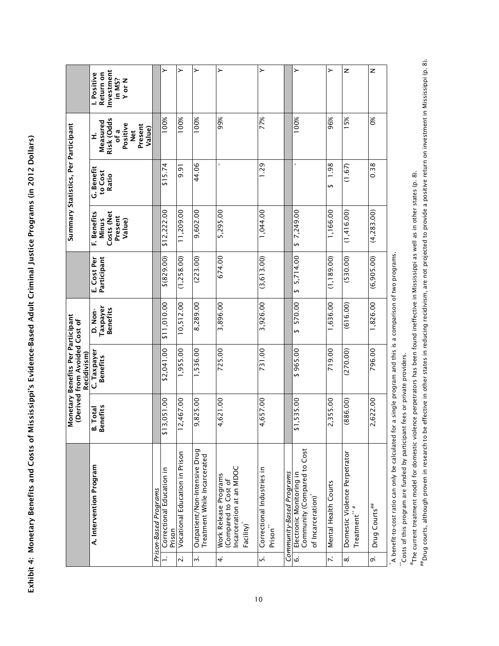Exhibit 4: Monetary Benefits and Costs of Mississippi's Evidence-Based Adult Criminal Justice Programs (in 2012 Dollars) Exhibit 4: Monetary Benefits and Costs of Mississippi's Evidence-Based Adult Criminal Justice Programs (in 2012 Dollars)

| ≻<br>≻<br>≻<br>z<br>z<br>≻<br>Investment<br>Return on<br>Positive<br>in MS?<br>Y or N<br>100%<br>99%<br>100%<br>100%<br>96%<br>15%<br>$\frac{8}{3}$<br>77%<br>100%<br>Risk (Odds<br>Measured<br>Positive<br>Present<br>Value)<br>of a<br><b>Net</b><br>Í<br>×<br>44.06<br>1.29<br>1.98<br>0.38<br>\$15.74<br>(1.67)<br>9.91<br>G. Benefit<br>to Cost<br>Ratio<br>$\leftrightarrow$<br>1,044.00<br>1,166.00<br>\$12,222.00<br>11,209.00<br>9,602.00<br>5,295.00<br>\$7,249.00<br>(1, 416.00)<br>(4,283.00)<br>Costs (Net<br>F. Benefits<br>Present<br>Minus<br>Value)<br>5,714.00<br>(3, 613.00)<br>(1, 189.00)<br>(530.00)<br>(1, 258.00)<br>674.00<br>(6,905.00)<br>\$(829.00)<br>(223.00)<br>E. Cost Per<br>Participant<br>$\leftrightarrow$<br>570.00<br>10,512.00<br>3,926.00<br>1,636.00<br>\$11,010.00<br>3,896.00<br>1,826.00<br>8,289.00<br>(616.00)<br>Taxpayer<br><b>Benefits</b><br>D. Non-<br>↮<br>\$2,041.00<br>731.00<br>719.00<br>796.00<br>1,955.00<br>1,536.00<br>725.00<br>\$965.00<br>(270.00)<br>C. Taxpayer<br><b>Benefits</b> |
|-----------------------------------------------------------------------------------------------------------------------------------------------------------------------------------------------------------------------------------------------------------------------------------------------------------------------------------------------------------------------------------------------------------------------------------------------------------------------------------------------------------------------------------------------------------------------------------------------------------------------------------------------------------------------------------------------------------------------------------------------------------------------------------------------------------------------------------------------------------------------------------------------------------------------------------------------------------------------------------------------------------------------------------------------------|
|                                                                                                                                                                                                                                                                                                                                                                                                                                                                                                                                                                                                                                                                                                                                                                                                                                                                                                                                                                                                                                                     |
|                                                                                                                                                                                                                                                                                                                                                                                                                                                                                                                                                                                                                                                                                                                                                                                                                                                                                                                                                                                                                                                     |
|                                                                                                                                                                                                                                                                                                                                                                                                                                                                                                                                                                                                                                                                                                                                                                                                                                                                                                                                                                                                                                                     |
|                                                                                                                                                                                                                                                                                                                                                                                                                                                                                                                                                                                                                                                                                                                                                                                                                                                                                                                                                                                                                                                     |
|                                                                                                                                                                                                                                                                                                                                                                                                                                                                                                                                                                                                                                                                                                                                                                                                                                                                                                                                                                                                                                                     |
|                                                                                                                                                                                                                                                                                                                                                                                                                                                                                                                                                                                                                                                                                                                                                                                                                                                                                                                                                                                                                                                     |
|                                                                                                                                                                                                                                                                                                                                                                                                                                                                                                                                                                                                                                                                                                                                                                                                                                                                                                                                                                                                                                                     |
|                                                                                                                                                                                                                                                                                                                                                                                                                                                                                                                                                                                                                                                                                                                                                                                                                                                                                                                                                                                                                                                     |
|                                                                                                                                                                                                                                                                                                                                                                                                                                                                                                                                                                                                                                                                                                                                                                                                                                                                                                                                                                                                                                                     |
|                                                                                                                                                                                                                                                                                                                                                                                                                                                                                                                                                                                                                                                                                                                                                                                                                                                                                                                                                                                                                                                     |
|                                                                                                                                                                                                                                                                                                                                                                                                                                                                                                                                                                                                                                                                                                                                                                                                                                                                                                                                                                                                                                                     |
|                                                                                                                                                                                                                                                                                                                                                                                                                                                                                                                                                                                                                                                                                                                                                                                                                                                                                                                                                                                                                                                     |

A benefit-to-cost ratio can only be calculated for a single program and this is a comparison of two programs.

 $^{**}$ Costs of this program are funded by participant fees or private providers.

\*Costs of this program are funded by participant fees or private providers.<br>\*The current treatment model for domestic violence perpetrators has been found ineffective in Mississippi as well as in other states (p. 8). The current treatment model for domestic violence perpetrators has been found ineffective in Mississippi as well as in other states (p. 8).

#forug courts, although proven in research to be effective in other states in reducing recidivism, are not projected to provide a positive return on investment in Mississippi (p. 8). Drug courts, although proven in research to be effective in other states in reducing recidivism, are not projected to provide a positive return on investment in Mississippi (p. 8).